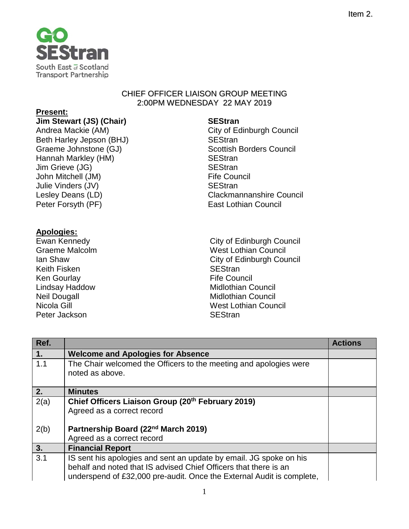

## CHIEF OFFICER LIAISON GROUP MEETING 2:00PM WEDNESDAY 22 MAY 2019

## **Present:**

**Jim Stewart (JS) (Chair) SEStran**<br> **Andrea Mackie (AM) City of Eq. 12.12** Beth Harley Jepson (BHJ) SEStran Graeme Johnstone (GJ) Scottish Borders Council Hannah Markley (HM) SEStran Jim Grieve (JG) SEStran John Mitchell (JM) Julie Vinders (JV) SEStran Peter Forsyth (PF) East Lothian Council

## **Apologies:**

Keith Fisken Ken Gourlay **Fife Council** Peter Jackson SEStran SEStran

City of Edinburgh Council Lesley Deans (LD) Clackmannanshire Council

Ewan Kennedy<br>
Gity of Edinburgh Council<br>
City of Edinburgh Council<br>
West Lothian Council West Lothian Council Ian Shaw **Ian Shaw** City of Edinburgh Council<br>
Keith Fisken **Council**<br>
SEStran Lindsay Haddow **Midlothian Council** Neil Dougall **Midlothian Council** Nicola Gill West Lothian Council

| Ref.           |                                                                                                                                                                                                                 | <b>Actions</b> |
|----------------|-----------------------------------------------------------------------------------------------------------------------------------------------------------------------------------------------------------------|----------------|
| $\mathbf{1}$ . | <b>Welcome and Apologies for Absence</b>                                                                                                                                                                        |                |
| 1.1            | The Chair welcomed the Officers to the meeting and apologies were<br>noted as above.                                                                                                                            |                |
| 2.             | <b>Minutes</b>                                                                                                                                                                                                  |                |
| 2(a)           | Chief Officers Liaison Group (20th February 2019)<br>Agreed as a correct record                                                                                                                                 |                |
| 2(b)           | Partnership Board (22nd March 2019)<br>Agreed as a correct record                                                                                                                                               |                |
| 3.             | <b>Financial Report</b>                                                                                                                                                                                         |                |
| 3.1            | IS sent his apologies and sent an update by email. JG spoke on his<br>behalf and noted that IS advised Chief Officers that there is an<br>underspend of £32,000 pre-audit. Once the External Audit is complete, |                |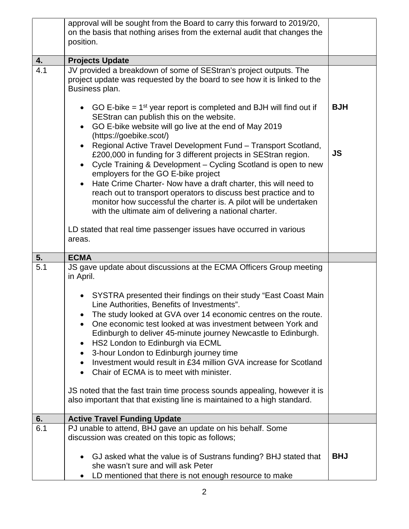|     | approval will be sought from the Board to carry this forward to 2019/20,<br>on the basis that nothing arises from the external audit that changes the                                                                                                                                                                                                                                                                                                                                                            |            |
|-----|------------------------------------------------------------------------------------------------------------------------------------------------------------------------------------------------------------------------------------------------------------------------------------------------------------------------------------------------------------------------------------------------------------------------------------------------------------------------------------------------------------------|------------|
|     | position.                                                                                                                                                                                                                                                                                                                                                                                                                                                                                                        |            |
| 4.  | <b>Projects Update</b>                                                                                                                                                                                                                                                                                                                                                                                                                                                                                           |            |
| 4.1 | JV provided a breakdown of some of SEStran's project outputs. The<br>project update was requested by the board to see how it is linked to the<br>Business plan.                                                                                                                                                                                                                                                                                                                                                  |            |
|     | • GO E-bike $= 1st$ year report is completed and BJH will find out if<br>SEStran can publish this on the website.<br>GO E-bike website will go live at the end of May 2019<br>(https://goebike.scot/)                                                                                                                                                                                                                                                                                                            | <b>BJH</b> |
|     | Regional Active Travel Development Fund - Transport Scotland,<br>£200,000 in funding for 3 different projects in SEStran region.<br>Cycle Training & Development – Cycling Scotland is open to new<br>employers for the GO E-bike project<br>Hate Crime Charter- Now have a draft charter, this will need to<br>reach out to transport operators to discuss best practice and to<br>monitor how successful the charter is. A pilot will be undertaken<br>with the ultimate aim of delivering a national charter. | <b>JS</b>  |
|     | LD stated that real time passenger issues have occurred in various<br>areas.                                                                                                                                                                                                                                                                                                                                                                                                                                     |            |
| 5.  | <b>ECMA</b>                                                                                                                                                                                                                                                                                                                                                                                                                                                                                                      |            |
| 5.1 | JS gave update about discussions at the ECMA Officers Group meeting<br>in April.                                                                                                                                                                                                                                                                                                                                                                                                                                 |            |
|     | SYSTRA presented their findings on their study "East Coast Main<br>Line Authorities, Benefits of Investments".<br>The study looked at GVA over 14 economic centres on the route.<br>One economic test looked at was investment between York and<br>Edinburgh to deliver 45-minute journey Newcastle to Edinburgh.<br>HS2 London to Edinburgh via ECML<br>3-hour London to Edinburgh journey time<br>Investment would result in £34 million GVA increase for Scotland<br>Chair of ECMA is to meet with minister.  |            |
|     | JS noted that the fast train time process sounds appealing, however it is<br>also important that that existing line is maintained to a high standard.                                                                                                                                                                                                                                                                                                                                                            |            |
| 6.  | <b>Active Travel Funding Update</b>                                                                                                                                                                                                                                                                                                                                                                                                                                                                              |            |
| 6.1 |                                                                                                                                                                                                                                                                                                                                                                                                                                                                                                                  |            |
|     | PJ unable to attend, BHJ gave an update on his behalf. Some<br>discussion was created on this topic as follows;<br>GJ asked what the value is of Sustrans funding? BHJ stated that                                                                                                                                                                                                                                                                                                                               | <b>BHJ</b> |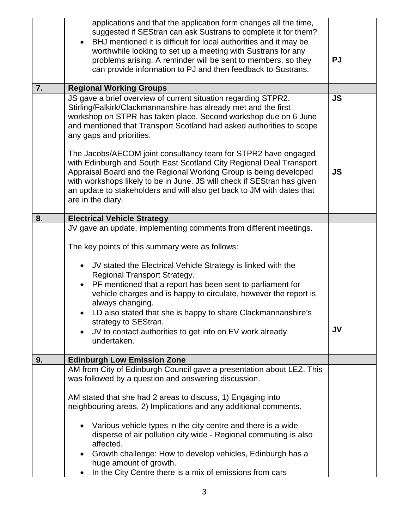|    | applications and that the application form changes all the time,<br>suggested if SEStran can ask Sustrans to complete it for them?<br>BHJ mentioned it is difficult for local authorities and it may be<br>worthwhile looking to set up a meeting with Sustrans for any<br>problems arising. A reminder will be sent to members, so they<br>can provide information to PJ and then feedback to Sustrans.                                                                                                                                                                                                      | <b>PJ</b> |
|----|---------------------------------------------------------------------------------------------------------------------------------------------------------------------------------------------------------------------------------------------------------------------------------------------------------------------------------------------------------------------------------------------------------------------------------------------------------------------------------------------------------------------------------------------------------------------------------------------------------------|-----------|
| 7. | <b>Regional Working Groups</b>                                                                                                                                                                                                                                                                                                                                                                                                                                                                                                                                                                                |           |
|    | JS gave a brief overview of current situation regarding STPR2.<br>Stirling/Falkirk/Clackmannanshire has already met and the first<br>workshop on STPR has taken place. Second workshop due on 6 June<br>and mentioned that Transport Scotland had asked authorities to scope<br>any gaps and priorities.                                                                                                                                                                                                                                                                                                      | <b>JS</b> |
|    | The Jacobs/AECOM joint consultancy team for STPR2 have engaged<br>with Edinburgh and South East Scotland City Regional Deal Transport<br>Appraisal Board and the Regional Working Group is being developed<br>with workshops likely to be in June. JS will check if SEStran has given<br>an update to stakeholders and will also get back to JM with dates that<br>are in the diary.                                                                                                                                                                                                                          | <b>JS</b> |
| 8. | <b>Electrical Vehicle Strategy</b>                                                                                                                                                                                                                                                                                                                                                                                                                                                                                                                                                                            |           |
| 9. | JV gave an update, implementing comments from different meetings.<br>The key points of this summary were as follows:<br>JV stated the Electrical Vehicle Strategy is linked with the<br>$\bullet$<br>Regional Transport Strategy.<br>PF mentioned that a report has been sent to parliament for<br>vehicle charges and is happy to circulate, however the report is<br>always changing.<br>LD also stated that she is happy to share Clackmannanshire's<br>strategy to SEStran.<br>JV to contact authorities to get info on EV work already<br>$\bullet$<br>undertaken.<br><b>Edinburgh Low Emission Zone</b> | <b>JV</b> |
|    |                                                                                                                                                                                                                                                                                                                                                                                                                                                                                                                                                                                                               |           |
|    | AM from City of Edinburgh Council gave a presentation about LEZ. This<br>was followed by a question and answering discussion.<br>AM stated that she had 2 areas to discuss, 1) Engaging into<br>neighbouring areas, 2) Implications and any additional comments.<br>Various vehicle types in the city centre and there is a wide<br>disperse of air pollution city wide - Regional commuting is also<br>affected.<br>Growth challenge: How to develop vehicles, Edinburgh has a<br>huge amount of growth.<br>In the City Centre there is a mix of emissions from cars                                         |           |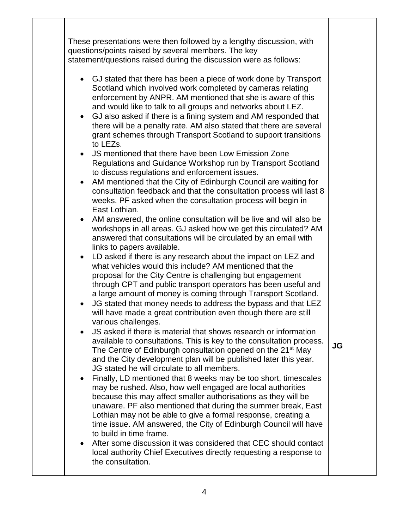These presentations were then followed by a lengthy discussion, with questions/points raised by several members. The key statement/questions raised during the discussion were as follows: • GJ stated that there has been a piece of work done by Transport Scotland which involved work completed by cameras relating enforcement by ANPR. AM mentioned that she is aware of this and would like to talk to all groups and networks about LEZ. • GJ also asked if there is a fining system and AM responded that there will be a penalty rate. AM also stated that there are several grant schemes through Transport Scotland to support transitions to LEZs. • JS mentioned that there have been Low Emission Zone Regulations and Guidance Workshop run by Transport Scotland to discuss regulations and enforcement issues. • AM mentioned that the City of Edinburgh Council are waiting for consultation feedback and that the consultation process will last 8 weeks. PF asked when the consultation process will begin in East Lothian. • AM answered, the online consultation will be live and will also be workshops in all areas. GJ asked how we get this circulated? AM answered that consultations will be circulated by an email with links to papers available. • LD asked if there is any research about the impact on LEZ and what vehicles would this include? AM mentioned that the proposal for the City Centre is challenging but engagement through CPT and public transport operators has been useful and a large amount of money is coming through Transport Scotland. • JG stated that money needs to address the bypass and that LEZ will have made a great contribution even though there are still various challenges. • JS asked if there is material that shows research or information available to consultations. This is key to the consultation process. The Centre of Edinburgh consultation opened on the 21<sup>st</sup> May and the City development plan will be published later this year. JG stated he will circulate to all members. • Finally, LD mentioned that 8 weeks may be too short, timescales may be rushed. Also, how well engaged are local authorities because this may affect smaller authorisations as they will be unaware. PF also mentioned that during the summer break, East Lothian may not be able to give a formal response, creating a time issue. AM answered, the City of Edinburgh Council will have to build in time frame. • After some discussion it was considered that CEC should contact local authority Chief Executives directly requesting a response to the consultation. **JG**